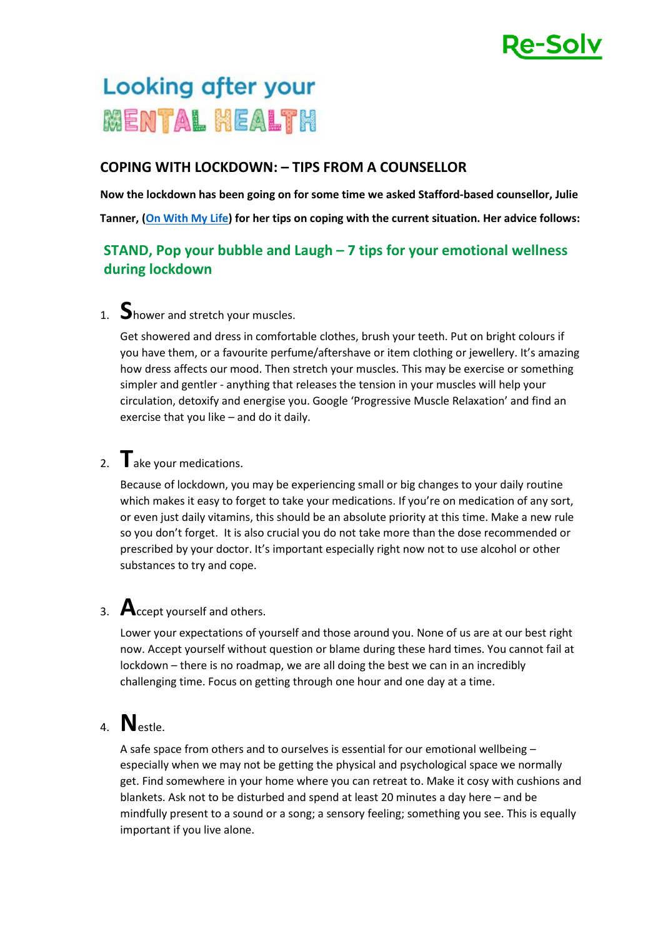

# Looking after your **MENTAL HEALTH**

#### **COPING WITH LOCKDOWN: – TIPS FROM A COUNSELLOR**

**Now the lockdown has been going on for some time we asked Stafford-based counsellor, Julie Tanner, [\(On With My Life\)](http://www.onwithmylife.com/) for her tips on coping with the current situation. Her advice follows:**

#### **STAND, Pop your bubble and Laugh – 7 tips for your emotional wellness during lockdown**

# 1. **S**hower and stretch your muscles.

Get showered and dress in comfortable clothes, brush your teeth. Put on bright colours if you have them, or a favourite perfume/aftershave or item clothing or jewellery. It's amazing how dress affects our mood. Then stretch your muscles. This may be exercise or something simpler and gentler - anything that releases the tension in your muscles will help your circulation, detoxify and energise you. Google 'Progressive Muscle Relaxation' and find an exercise that you like – and do it daily.

### 2. **T**ake your medications.

Because of lockdown, you may be experiencing small or big changes to your daily routine which makes it easy to forget to take your medications. If you're on medication of any sort, or even just daily vitamins, this should be an absolute priority at this time. Make a new rule so you don't forget. It is also crucial you do not take more than the dose recommended or prescribed by your doctor. It's important especially right now not to use alcohol or other substances to try and cope.

## 3. **A**ccept yourself and others.

Lower your expectations of yourself and those around you. None of us are at our best right now. Accept yourself without question or blame during these hard times. You cannot fail at lockdown – there is no roadmap, we are all doing the best we can in an incredibly challenging time. Focus on getting through one hour and one day at a time.

# 4. **N**estle.

A safe space from others and to ourselves is essential for our emotional wellbeing – especially when we may not be getting the physical and psychological space we normally get. Find somewhere in your home where you can retreat to. Make it cosy with cushions and blankets. Ask not to be disturbed and spend at least 20 minutes a day here – and be mindfully present to a sound or a song; a sensory feeling; something you see. This is equally important if you live alone.